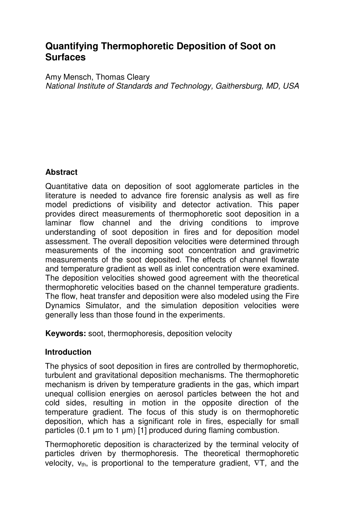# **Quantifying Thermophoretic Deposition of Soot on Surfaces**

Amy Mensch, Thomas Cleary *National Institute of Standards and Technology, Gaithersburg, MD, USA*

## **Abstract**

Quantitative data on deposition of soot agglomerate particles in the literature is needed to advance fire forensic analysis as well as fire model predictions of visibility and detector activation. This paper provides direct measurements of thermophoretic soot deposition in a laminar flow channel and the driving conditions to improve understanding of soot deposition in fires and for deposition model assessment. The overall deposition velocities were determined through measurements of the incoming soot concentration and gravimetric measurements of the soot deposited. The effects of channel flowrate and temperature gradient as well as inlet concentration were examined. The deposition velocities showed good agreement with the theoretical thermophoretic velocities based on the channel temperature gradients. The flow, heat transfer and deposition were also modeled using the Fire Dynamics Simulator, and the simulation deposition velocities were generally less than those found in the experiments.

**Keywords:** soot, thermophoresis, deposition velocity

## **Introduction**

The physics of soot deposition in fires are controlled by thermophoretic, turbulent and gravitational deposition mechanisms. The thermophoretic mechanism is driven by temperature gradients in the gas, which impart unequal collision energies on aerosol particles between the hot and cold sides, resulting in motion in the opposite direction of the temperature gradient. The focus of this study is on thermophoretic deposition, which has a significant role in fires, especially for small particles (0.1  $\mu$ m to 1  $\mu$ m) [1] produced during flaming combustion.

Thermophoretic deposition is characterized by the terminal velocity of particles driven by thermophoresis. The theoretical thermophoretic velocity, vth, is proportional to the temperature gradient, ∇T*,* and the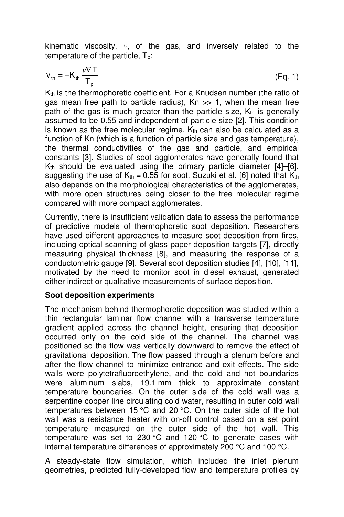kinematic viscosity, *ν*, of the gas, and inversely related to the temperature of the particle.  $T_p$ :

$$
v_{\text{th}} = -K_{\text{th}} \frac{\nu \nabla T}{T_{p}}
$$
 (Eq. 1)

K<sub>th</sub> is the thermophoretic coefficient. For a Knudsen number (the ratio of gas mean free path to particle radius), Kn >> 1, when the mean free path of the gas is much greater than the particle size,  $K_{th}$  is generally assumed to be 0.55 and independent of particle size [2]. This condition is known as the free molecular regime.  $K<sub>th</sub>$  can also be calculated as a function of Kn (which is a function of particle size and gas temperature), the thermal conductivities of the gas and particle, and empirical constants [3]. Studies of soot agglomerates have generally found that  $K<sub>th</sub>$  should be evaluated using the primary particle diameter [4]–[6], suggesting the use of  $K_{th} = 0.55$  for soot. Suzuki et al. [6] noted that  $K_{th}$ also depends on the morphological characteristics of the agglomerates, with more open structures being closer to the free molecular regime compared with more compact agglomerates.

Currently, there is insufficient validation data to assess the performance of predictive models of thermophoretic soot deposition. Researchers have used different approaches to measure soot deposition from fires, including optical scanning of glass paper deposition targets [7], directly measuring physical thickness [8], and measuring the response of a conductometric gauge [9]. Several soot deposition studies [4], [10], [11], motivated by the need to monitor soot in diesel exhaust, generated either indirect or qualitative measurements of surface deposition.

## **Soot deposition experiments**

The mechanism behind thermophoretic deposition was studied within a thin rectangular laminar flow channel with a transverse temperature gradient applied across the channel height, ensuring that deposition occurred only on the cold side of the channel. The channel was positioned so the flow was vertically downward to remove the effect of gravitational deposition. The flow passed through a plenum before and after the flow channel to minimize entrance and exit effects. The side walls were polytetrafluoroethylene, and the cold and hot boundaries were aluminum slabs, 19.1 mm thick to approximate constant temperature boundaries. On the outer side of the cold wall was a serpentine copper line circulating cold water, resulting in outer cold wall temperatures between 15 °C and 20 °C. On the outer side of the hot wall was a resistance heater with on-off control based on a set point temperature measured on the outer side of the hot wall. This temperature was set to 230 °C and 120 °C to generate cases with internal temperature differences of approximately 200 °C and 100 °C.

A steady-state flow simulation, which included the inlet plenum geometries, predicted fully-developed flow and temperature profiles by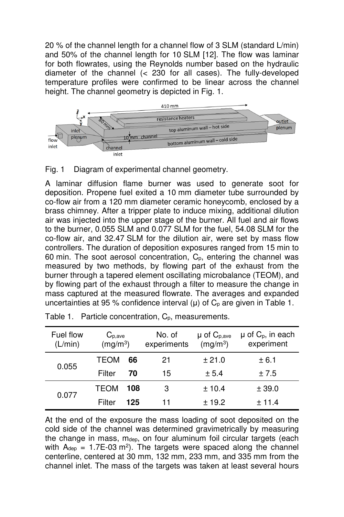20 % of the channel length for a channel flow of 3 SLM (standard L/min) and 50% of the channel length for 10 SLM [12]. The flow was laminar for both flowrates, using the Reynolds number based on the hydraulic diameter of the channel (< 230 for all cases). The fully-developed temperature profiles were confirmed to be linear across the channel height. The channel geometry is depicted in Fig. 1.



## Fig. 1 Diagram of experimental channel geometry.

A laminar diffusion flame burner was used to generate soot for deposition. Propene fuel exited a 10 mm diameter tube surrounded by co-flow air from a 120 mm diameter ceramic honeycomb, enclosed by a brass chimney. After a tripper plate to induce mixing, additional dilution air was injected into the upper stage of the burner. All fuel and air flows to the burner, 0.055 SLM and 0.077 SLM for the fuel, 54.08 SLM for the co-flow air, and 32.47 SLM for the dilution air, were set by mass flow controllers. The duration of deposition exposures ranged from 15 min to 60 min. The soot aerosol concentration,  $C_p$ , entering the channel was measured by two methods, by flowing part of the exhaust from the burner through a tapered element oscillating microbalance (TEOM), and by flowing part of the exhaust through a filter to measure the change in mass captured at the measured flowrate. The averages and expanded uncertainties at 95 % confidence interval  $(\mu)$  of  $C_p$  are given in Table 1.

| Fuel flow<br>(L/min) | $C_{p,ave}$<br>(mg/m <sup>3</sup> ) |     | No. of<br>experiments | $\mu$ of $C_{p,ave}$<br>(mg/m <sup>3</sup> ) | $\mu$ of $C_p$ , in each<br>experiment |  |
|----------------------|-------------------------------------|-----|-----------------------|----------------------------------------------|----------------------------------------|--|
| 0.055                | TEOM                                | 66  | 21                    | ± 21.0                                       | ± 6.1                                  |  |
|                      | Filter                              | 70  | 15                    | ± 5.4                                        | ± 7.5                                  |  |
| 0.077                | TEOM                                | 108 | З                     | ± 10.4                                       | ± 39.0                                 |  |
|                      | Filter                              | 125 |                       | ± 19.2                                       | $+11.4$                                |  |

Table 1. Particle concentration, C<sub>p</sub>, measurements.

At the end of the exposure the mass loading of soot deposited on the cold side of the channel was determined gravimetrically by measuring the change in mass, mdep, on four aluminum foil circular targets (each with  $A_{dep} = 1.7E-03$  m<sup>2</sup>). The targets were spaced along the channel centerline, centered at 30 mm, 132 mm, 233 mm, and 335 mm from the channel inlet. The mass of the targets was taken at least several hours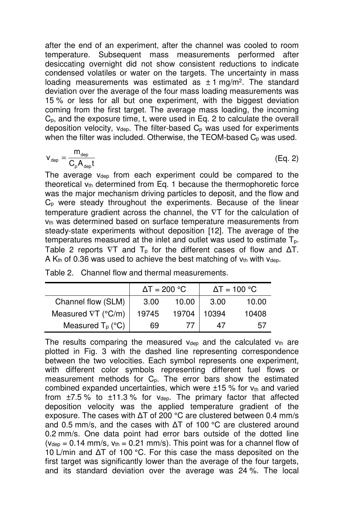after the end of an experiment, after the channel was cooled to room temperature. Subsequent mass measurements performed after desiccating overnight did not show consistent reductions to indicate condensed volatiles or water on the targets. The uncertainty in mass loading measurements was estimated as  $\pm 1$  mg/m<sup>2</sup>. The standard deviation over the average of the four mass loading measurements was 15 % or less for all but one experiment, with the biggest deviation coming from the first target. The average mass loading, the incoming Cp, and the exposure time, t, were used in Eq. 2 to calculate the overall deposition velocity,  $v_{dep}$ . The filter-based  $C_p$  was used for experiments when the filter was included. Otherwise, the TEOM-based  $C_p$  was used.

$$
v_{\rm dep} = \frac{m_{\rm dep}}{C_{\rm p} A_{\rm dep} t} \tag{Eq. 2}
$$

The average  $v_{\text{den}}$  from each experiment could be compared to the theoretical vth determined from Eq. 1 because the thermophoretic force was the major mechanism driving particles to deposit, and the flow and C<sub>p</sub> were steady throughout the experiments. Because of the linear temperature gradient across the channel, the ∇T for the calculation of V<sub>th</sub> was determined based on surface temperature measurements from steady-state experiments without deposition [12]. The average of the temperatures measured at the inlet and outlet was used to estimate Tp. Table 2 reports  $\nabla T$  and  $T_p$  for the different cases of flow and  $\Delta T$ . A  $K<sub>th</sub>$  of 0.36 was used to achieve the best matching of  $v<sub>th</sub>$  with  $v<sub>dep</sub>$ .

|  |  |  |  | Table 2. Channel flow and thermal measurements. |
|--|--|--|--|-------------------------------------------------|
|--|--|--|--|-------------------------------------------------|

|                                  | $\Delta T = 200 °C$ |       | $\Delta T = 100$ °C |       |
|----------------------------------|---------------------|-------|---------------------|-------|
| Channel flow (SLM)               | 3.00                | 10.00 | 3.00                | 10.00 |
| Measured $\nabla T$ (°C/m)       | 19745               | 19704 | 10394               | 10408 |
| Measured $T_p$ ( ${}^{\circ}C$ ) | 69                  |       | 47                  | 57    |

The results comparing the measured  $v_{dep}$  and the calculated  $v_{th}$  are plotted in Fig. 3 with the dashed line representing correspondence between the two velocities. Each symbol represents one experiment, with different color symbols representing different fuel flows or measurement methods for  $C_p$ . The error bars show the estimated combined expanded uncertainties, which were  $\pm 15$  % for  $v_{th}$  and varied from  $\pm$ 7.5 % to  $\pm$ 11.3 % for vdep. The primary factor that affected deposition velocity was the applied temperature gradient of the exposure. The cases with ∆T of 200 °C are clustered between 0.4 mm/s and 0.5 mm/s, and the cases with ∆T of 100 °C are clustered around 0.2 mm/s. One data point had error bars outside of the dotted line  $(v_{\text{dep}} = 0.14 \text{ mm/s}, v_{\text{th}} = 0.21 \text{ mm/s}).$  This point was for a channel flow of 10 L/min and ∆T of 100 °C. For this case the mass deposited on the first target was significantly lower than the average of the four targets, and its standard deviation over the average was 24 %. The local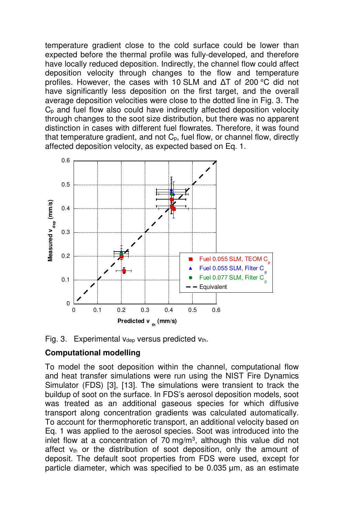temperature gradient close to the cold surface could be lower than expected before the thermal profile was fully-developed, and therefore have locally reduced deposition. Indirectly, the channel flow could affect deposition velocity through changes to the flow and temperature profiles. However, the cases with 10 SLM and ∆T of 200 °C did not have significantly less deposition on the first target, and the overall average deposition velocities were close to the dotted line in Fig. 3. The Cp and fuel flow also could have indirectly affected deposition velocity through changes to the soot size distribution, but there was no apparent distinction in cases with different fuel flowrates. Therefore, it was found that temperature gradient, and not  $C_p$ , fuel flow, or channel flow, directly affected deposition velocity, as expected based on Eq. 1.



Fig. 3. Experimental  $v_{dep}$  versus predicted  $v_{th}$ .

## **Computational modelling**

To model the soot deposition within the channel, computational flow and heat transfer simulations were run using the NIST Fire Dynamics Simulator (FDS) [3], [13]. The simulations were transient to track the buildup of soot on the surface. In FDS's aerosol deposition models, soot was treated as an additional gaseous species for which diffusive transport along concentration gradients was calculated automatically. To account for thermophoretic transport, an additional velocity based on Eq. 1 was applied to the aerosol species. Soot was introduced into the inlet flow at a concentration of 70 mg/m<sup>3</sup>, although this value did not affect  $v_{th}$  or the distribution of soot deposition, only the amount of deposit. The default soot properties from FDS were used, except for particle diameter, which was specified to be 0.035 µm, as an estimate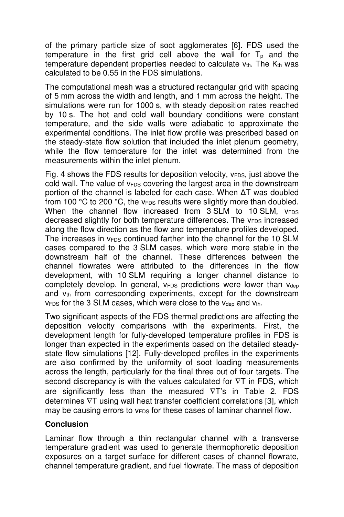of the primary particle size of soot agglomerates [6]. FDS used the temperature in the first grid cell above the wall for  $T<sub>p</sub>$  and the temperature dependent properties needed to calculate  $v_{th}$ . The  $K_{th}$  was calculated to be 0.55 in the FDS simulations.

The computational mesh was a structured rectangular grid with spacing of 5 mm across the width and length, and 1 mm across the height. The simulations were run for 1000 s, with steady deposition rates reached by 10 s. The hot and cold wall boundary conditions were constant temperature, and the side walls were adiabatic to approximate the experimental conditions. The inlet flow profile was prescribed based on the steady-state flow solution that included the inlet plenum geometry, while the flow temperature for the inlet was determined from the measurements within the inlet plenum.

Fig. 4 shows the FDS results for deposition velocity, v<sub>FDS</sub>, just above the cold wall. The value of  $v_{FDS}$  covering the largest area in the downstream portion of the channel is labeled for each case. When ΔT was doubled from 100  $\degree$ C to 200  $\degree$ C, the v<sub>FDS</sub> results were slightly more than doubled. When the channel flow increased from  $3$  SLM to 10 SLM,  $V_{FDS}$ decreased slightly for both temperature differences. The v<sub>FDS</sub> increased along the flow direction as the flow and temperature profiles developed. The increases in  $v_{FDS}$  continued farther into the channel for the 10 SLM cases compared to the 3 SLM cases, which were more stable in the downstream half of the channel. These differences between the channel flowrates were attributed to the differences in the flow development, with 10 SLM requiring a longer channel distance to completely develop. In general,  $v_{FDS}$  predictions were lower than  $v_{dep}$ and  $v_{th}$  from corresponding experiments, except for the downstream  $v_{FDS}$  for the 3 SLM cases, which were close to the  $v_{dep}$  and  $v_{th}$ .

Two significant aspects of the FDS thermal predictions are affecting the deposition velocity comparisons with the experiments. First, the development length for fully-developed temperature profiles in FDS is longer than expected in the experiments based on the detailed steadystate flow simulations [12]. Fully-developed profiles in the experiments are also confirmed by the uniformity of soot loading measurements across the length, particularly for the final three out of four targets. The second discrepancy is with the values calculated for ∇T in FDS, which are significantly less than the measured ∇T's in Table 2. FDS determines ∇T using wall heat transfer coefficient correlations [3], which may be causing errors to  $v_{FDS}$  for these cases of laminar channel flow.

## **Conclusion**

Laminar flow through a thin rectangular channel with a transverse temperature gradient was used to generate thermophoretic deposition exposures on a target surface for different cases of channel flowrate, channel temperature gradient, and fuel flowrate. The mass of deposition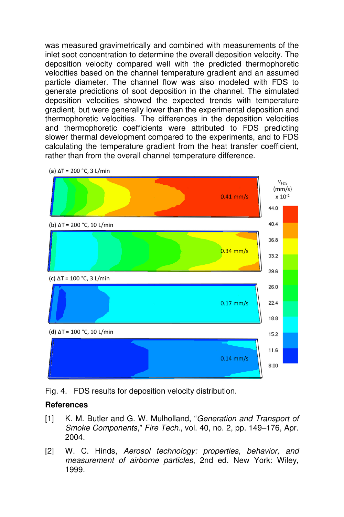was measured gravimetrically and combined with measurements of the inlet soot concentration to determine the overall deposition velocity. The deposition velocity compared well with the predicted thermophoretic velocities based on the channel temperature gradient and an assumed particle diameter. The channel flow was also modeled with FDS to generate predictions of soot deposition in the channel. The simulated deposition velocities showed the expected trends with temperature gradient, but were generally lower than the experimental deposition and thermophoretic velocities. The differences in the deposition velocities and thermophoretic coefficients were attributed to FDS predicting slower thermal development compared to the experiments, and to FDS calculating the temperature gradient from the heat transfer coefficient, rather than from the overall channel temperature difference.



(a)  $\Delta T = 200$  °C, 3 L/min

Fig. 4. FDS results for deposition velocity distribution.

#### **References**

- [1] K. M. Butler and G. W. Mulholland, "*Generation and Transport of Smoke Components*," *Fire Tech.*, vol. 40, no. 2, pp. 149–176, Apr. 2004.
- [2] W. C. Hinds, *Aerosol technology: properties, behavior, and measurement of airborne particles*, 2nd ed. New York: Wiley, 1999.